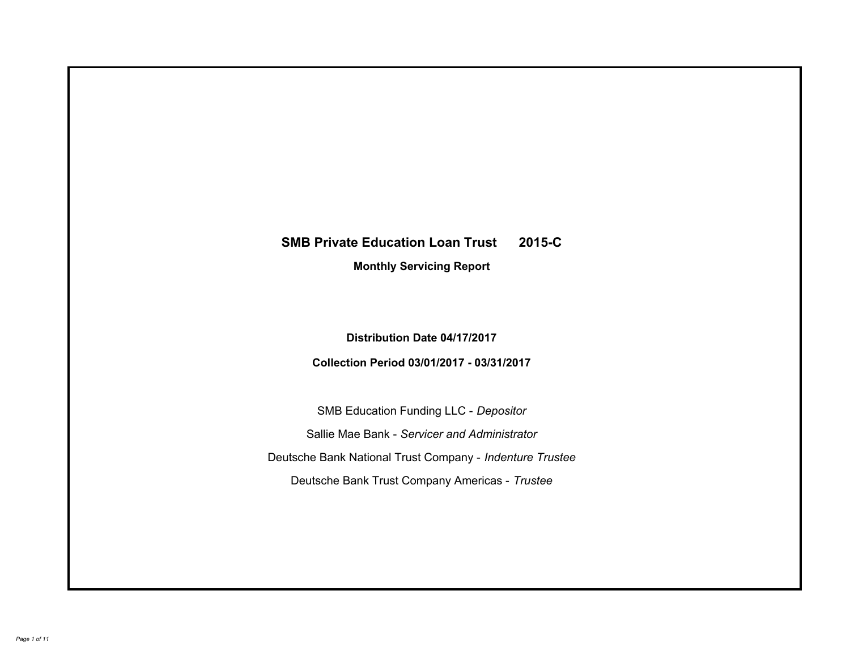# **SMB Private Education Loan Trust 2015-C Monthly Servicing Report**

**Distribution Date 04/17/2017**

**Collection Period 03/01/2017 - 03/31/2017**

SMB Education Funding LLC - *Depositor* Sallie Mae Bank - *Servicer and Administrator* Deutsche Bank National Trust Company - *Indenture Trustee* Deutsche Bank Trust Company Americas - *Trustee*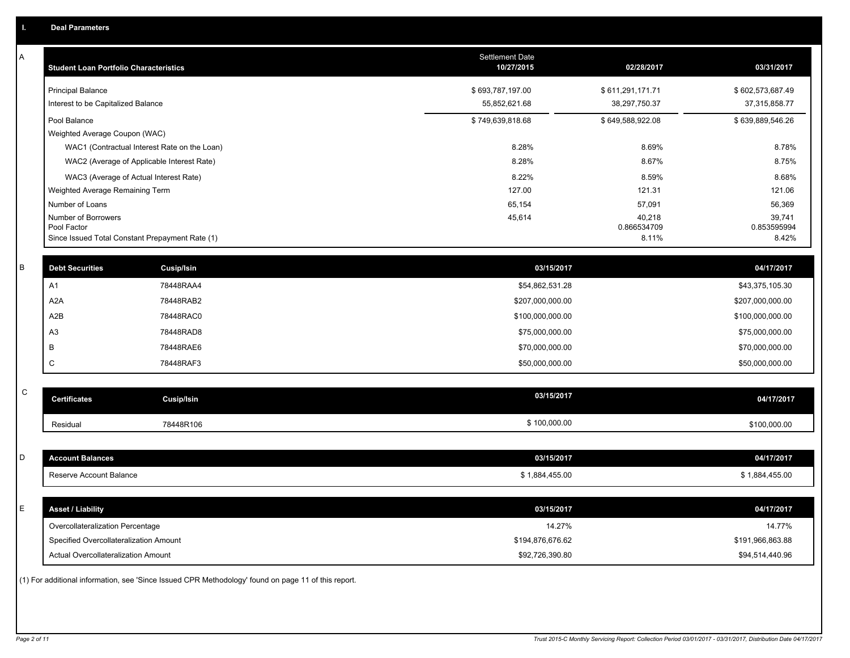| Α           | <b>Student Loan Portfolio Characteristics</b> |                                                                                                     | <b>Settlement Date</b><br>10/27/2015 | 02/28/2017           | 03/31/2017           |
|-------------|-----------------------------------------------|-----------------------------------------------------------------------------------------------------|--------------------------------------|----------------------|----------------------|
|             | <b>Principal Balance</b>                      |                                                                                                     | \$693,787,197.00                     | \$611,291,171.71     | \$602,573,687.49     |
|             | Interest to be Capitalized Balance            |                                                                                                     | 55,852,621.68                        | 38,297,750.37        | 37,315,858.77        |
|             | Pool Balance                                  |                                                                                                     | \$749,639,818.68                     | \$649,588,922.08     | \$639,889,546.26     |
|             | Weighted Average Coupon (WAC)                 |                                                                                                     |                                      |                      |                      |
|             |                                               | WAC1 (Contractual Interest Rate on the Loan)                                                        | 8.28%                                | 8.69%                | 8.78%                |
|             |                                               | WAC2 (Average of Applicable Interest Rate)                                                          | 8.28%                                | 8.67%                | 8.75%                |
|             |                                               | WAC3 (Average of Actual Interest Rate)                                                              | 8.22%                                | 8.59%                | 8.68%                |
|             | Weighted Average Remaining Term               |                                                                                                     | 127.00                               | 121.31               | 121.06               |
|             | Number of Loans                               |                                                                                                     | 65,154                               | 57,091               | 56,369               |
|             | Number of Borrowers                           |                                                                                                     | 45,614                               | 40,218               | 39,741               |
|             | Pool Factor                                   | Since Issued Total Constant Prepayment Rate (1)                                                     |                                      | 0.866534709<br>8.11% | 0.853595994<br>8.42% |
|             |                                               |                                                                                                     |                                      |                      |                      |
| B           | <b>Debt Securities</b>                        | Cusip/Isin                                                                                          | 03/15/2017                           |                      | 04/17/2017           |
|             | A1                                            | 78448RAA4                                                                                           | \$54,862,531.28                      |                      | \$43,375,105.30      |
|             | A <sub>2</sub> A                              | 78448RAB2                                                                                           | \$207,000,000.00                     |                      | \$207,000,000.00     |
|             | A2B                                           | 78448RAC0                                                                                           | \$100,000,000.00                     |                      | \$100,000,000.00     |
|             | A <sub>3</sub>                                | 78448RAD8                                                                                           | \$75,000,000.00                      |                      | \$75,000,000.00      |
|             | B                                             | 78448RAE6                                                                                           | \$70,000,000.00                      |                      | \$70,000,000.00      |
|             | C                                             | 78448RAF3                                                                                           | \$50,000,000.00                      |                      | \$50,000,000.00      |
|             |                                               |                                                                                                     |                                      |                      |                      |
| $\mathbf C$ | <b>Certificates</b>                           | <b>Cusip/Isin</b>                                                                                   | 03/15/2017                           |                      | 04/17/2017           |
|             | Residual                                      | 78448R106                                                                                           | \$100,000.00                         |                      | \$100,000.00         |
|             |                                               |                                                                                                     |                                      |                      |                      |
| D           | <b>Account Balances</b>                       |                                                                                                     | 03/15/2017                           |                      | 04/17/2017           |
|             | Reserve Account Balance                       |                                                                                                     | \$1,884,455.00                       |                      | \$1,884,455.00       |
|             |                                               |                                                                                                     |                                      |                      |                      |
| E           | <b>Asset / Liability</b>                      |                                                                                                     | 03/15/2017                           |                      | 04/17/2017           |
|             | Overcollateralization Percentage              |                                                                                                     | 14.27%                               |                      | 14.77%               |
|             | Specified Overcollateralization Amount        |                                                                                                     | \$194,876,676.62                     |                      | \$191,966,863.88     |
|             | Actual Overcollateralization Amount           |                                                                                                     | \$92,726,390.80                      |                      | \$94,514,440.96      |
|             |                                               | (1) For additional information, see 'Since Issued CPR Methodology' found on page 11 of this report. |                                      |                      |                      |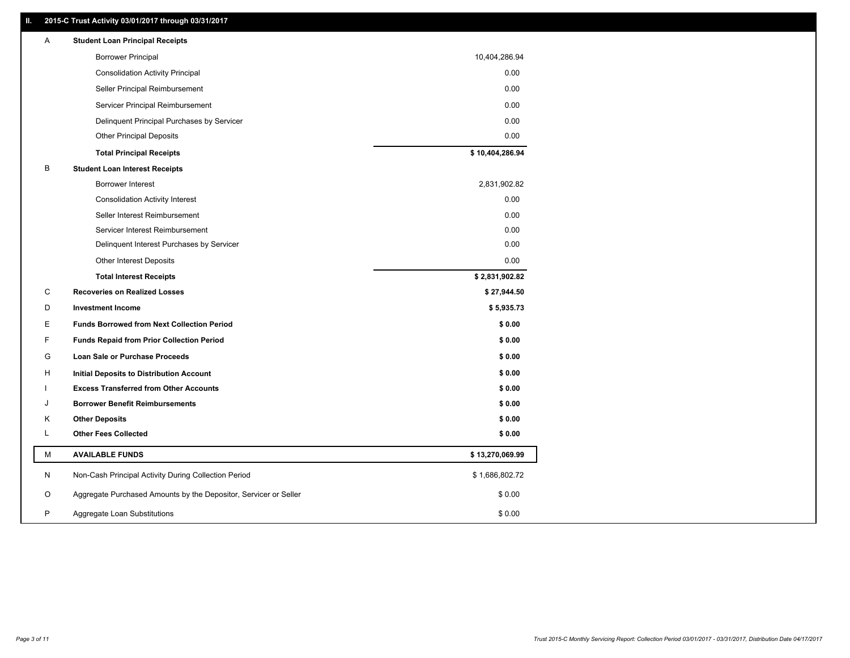# **II. 2015-C Trust Activity 03/01/2017 through 03/31/2017**

| A | <b>Student Loan Principal Receipts</b>                           |                 |  |
|---|------------------------------------------------------------------|-----------------|--|
|   | <b>Borrower Principal</b>                                        | 10,404,286.94   |  |
|   | <b>Consolidation Activity Principal</b>                          | 0.00            |  |
|   | Seller Principal Reimbursement                                   | 0.00            |  |
|   | Servicer Principal Reimbursement                                 | 0.00            |  |
|   | Delinquent Principal Purchases by Servicer                       | 0.00            |  |
|   | <b>Other Principal Deposits</b>                                  | 0.00            |  |
|   | <b>Total Principal Receipts</b>                                  | \$10,404,286.94 |  |
| В | <b>Student Loan Interest Receipts</b>                            |                 |  |
|   | Borrower Interest                                                | 2,831,902.82    |  |
|   | <b>Consolidation Activity Interest</b>                           | 0.00            |  |
|   | Seller Interest Reimbursement                                    | 0.00            |  |
|   | Servicer Interest Reimbursement                                  | 0.00            |  |
|   | Delinquent Interest Purchases by Servicer                        | 0.00            |  |
|   | <b>Other Interest Deposits</b>                                   | 0.00            |  |
|   | <b>Total Interest Receipts</b>                                   | \$2,831,902.82  |  |
| C | <b>Recoveries on Realized Losses</b>                             | \$27,944.50     |  |
| D | <b>Investment Income</b>                                         | \$5,935.73      |  |
| Ε | <b>Funds Borrowed from Next Collection Period</b>                | \$0.00          |  |
| F | <b>Funds Repaid from Prior Collection Period</b>                 | \$0.00          |  |
| G | Loan Sale or Purchase Proceeds                                   | \$0.00          |  |
| н | Initial Deposits to Distribution Account                         | \$0.00          |  |
|   | <b>Excess Transferred from Other Accounts</b>                    | \$0.00          |  |
| J | <b>Borrower Benefit Reimbursements</b>                           | \$0.00          |  |
| Κ | <b>Other Deposits</b>                                            | \$0.00          |  |
| L | <b>Other Fees Collected</b>                                      | \$0.00          |  |
| М | <b>AVAILABLE FUNDS</b>                                           | \$13,270,069.99 |  |
| N | Non-Cash Principal Activity During Collection Period             | \$1,686,802.72  |  |
| O | Aggregate Purchased Amounts by the Depositor, Servicer or Seller | \$0.00          |  |
| P | Aggregate Loan Substitutions                                     | \$0.00          |  |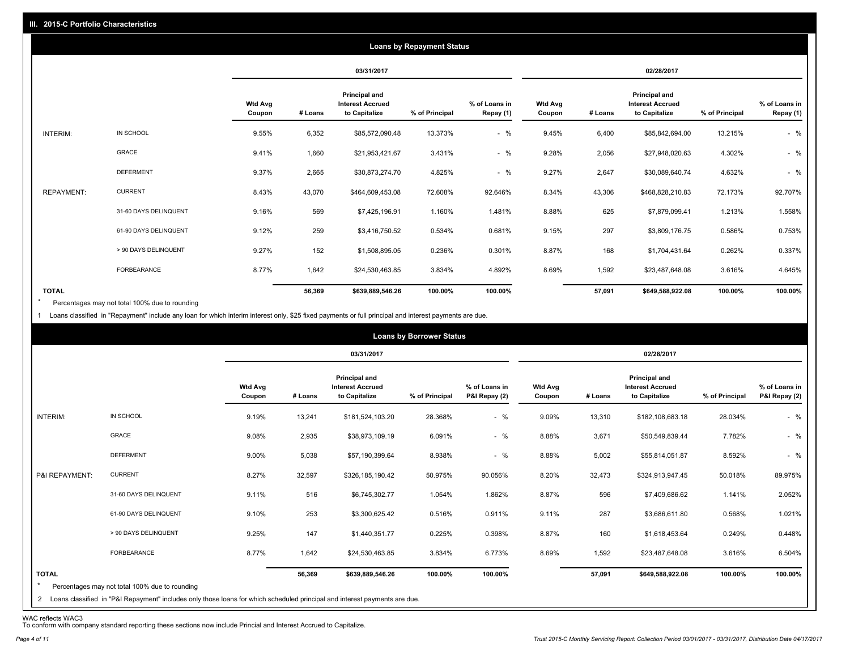|                   |                       |                          |         |                                                           | <b>Loans by Repayment Status</b> |                            |                          |         |                                                                  |                |                            |
|-------------------|-----------------------|--------------------------|---------|-----------------------------------------------------------|----------------------------------|----------------------------|--------------------------|---------|------------------------------------------------------------------|----------------|----------------------------|
|                   |                       |                          |         | 03/31/2017                                                |                                  |                            |                          |         | 02/28/2017                                                       |                |                            |
|                   |                       | <b>Wtd Avg</b><br>Coupon | # Loans | Principal and<br><b>Interest Accrued</b><br>to Capitalize | % of Principal                   | % of Loans in<br>Repay (1) | <b>Wtd Avg</b><br>Coupon | # Loans | <b>Principal and</b><br><b>Interest Accrued</b><br>to Capitalize | % of Principal | % of Loans in<br>Repay (1) |
| INTERIM:          | IN SCHOOL             | 9.55%                    | 6,352   | \$85,572,090.48                                           | 13.373%                          | $-$ %                      | 9.45%                    | 6,400   | \$85,842,694.00                                                  | 13.215%        | $-$ %                      |
|                   | GRACE                 | 9.41%                    | 1,660   | \$21,953,421.67                                           | 3.431%                           | $-$ %                      | 9.28%                    | 2,056   | \$27,948,020.63                                                  | 4.302%         | $-$ %                      |
|                   | <b>DEFERMENT</b>      | 9.37%                    | 2,665   | \$30,873,274.70                                           | 4.825%                           | $-$ %                      | 9.27%                    | 2,647   | \$30,089,640.74                                                  | 4.632%         | $-$ %                      |
| <b>REPAYMENT:</b> | <b>CURRENT</b>        | 8.43%                    | 43,070  | \$464,609,453.08                                          | 72.608%                          | 92.646%                    | 8.34%                    | 43,306  | \$468,828,210.83                                                 | 72.173%        | 92.707%                    |
|                   | 31-60 DAYS DELINQUENT | 9.16%                    | 569     | \$7,425,196.91                                            | 1.160%                           | 1.481%                     | 8.88%                    | 625     | \$7,879,099.41                                                   | 1.213%         | 1.558%                     |
|                   | 61-90 DAYS DELINQUENT | 9.12%                    | 259     | \$3,416,750.52                                            | 0.534%                           | 0.681%                     | 9.15%                    | 297     | \$3,809,176.75                                                   | 0.586%         | 0.753%                     |
|                   | > 90 DAYS DELINQUENT  | 9.27%                    | 152     | \$1,508,895.05                                            | 0.236%                           | 0.301%                     | 8.87%                    | 168     | \$1,704,431.64                                                   | 0.262%         | 0.337%                     |
|                   | <b>FORBEARANCE</b>    | 8.77%                    | 1,642   | \$24,530,463.85                                           | 3.834%                           | 4.892%                     | 8.69%                    | 1,592   | \$23,487,648.08                                                  | 3.616%         | 4.645%                     |
| <b>TOTAL</b>      |                       |                          | 56,369  | \$639,889,546.26                                          | 100.00%                          | 100.00%                    |                          | 57,091  | \$649,588,922.08                                                 | 100.00%        | 100.00%                    |

Percentages may not total 100% due to rounding  $\star$ 

1 Loans classified in "Repayment" include any loan for which interim interest only, \$25 fixed payments or full principal and interest payments are due.

|                         |                                                                                                                                                                                |                          |         |                                                                  | <b>Loans by Borrower Status</b> |                                |                          |         |                                                                  |                |                                |
|-------------------------|--------------------------------------------------------------------------------------------------------------------------------------------------------------------------------|--------------------------|---------|------------------------------------------------------------------|---------------------------------|--------------------------------|--------------------------|---------|------------------------------------------------------------------|----------------|--------------------------------|
|                         |                                                                                                                                                                                |                          |         | 03/31/2017                                                       |                                 |                                |                          |         | 02/28/2017                                                       |                |                                |
|                         |                                                                                                                                                                                | <b>Wtd Avg</b><br>Coupon | # Loans | <b>Principal and</b><br><b>Interest Accrued</b><br>to Capitalize | % of Principal                  | % of Loans in<br>P&I Repay (2) | <b>Wtd Avg</b><br>Coupon | # Loans | <b>Principal and</b><br><b>Interest Accrued</b><br>to Capitalize | % of Principal | % of Loans in<br>P&I Repay (2) |
| INTERIM:                | IN SCHOOL                                                                                                                                                                      | 9.19%                    | 13,241  | \$181,524,103.20                                                 | 28.368%                         | $-$ %                          | 9.09%                    | 13,310  | \$182,108,683.18                                                 | 28.034%        | $-$ %                          |
|                         | GRACE                                                                                                                                                                          | 9.08%                    | 2,935   | \$38,973,109.19                                                  | 6.091%                          | $-$ %                          | 8.88%                    | 3,671   | \$50,549,839.44                                                  | 7.782%         | $-$ %                          |
|                         | <b>DEFERMENT</b>                                                                                                                                                               | 9.00%                    | 5,038   | \$57,190,399.64                                                  | 8.938%                          | $-$ %                          | 8.88%                    | 5,002   | \$55,814,051.87                                                  | 8.592%         | $-$ %                          |
| P&I REPAYMENT:          | <b>CURRENT</b>                                                                                                                                                                 | 8.27%                    | 32,597  | \$326,185,190.42                                                 | 50.975%                         | 90.056%                        | 8.20%                    | 32,473  | \$324,913,947.45                                                 | 50.018%        | 89.975%                        |
|                         | 31-60 DAYS DELINQUENT                                                                                                                                                          | 9.11%                    | 516     | \$6,745,302.77                                                   | 1.054%                          | 1.862%                         | 8.87%                    | 596     | \$7,409,686.62                                                   | 1.141%         | 2.052%                         |
|                         | 61-90 DAYS DELINQUENT                                                                                                                                                          | 9.10%                    | 253     | \$3,300,625.42                                                   | 0.516%                          | 0.911%                         | 9.11%                    | 287     | \$3,686,611.80                                                   | 0.568%         | 1.021%                         |
|                         | > 90 DAYS DELINQUENT                                                                                                                                                           | 9.25%                    | 147     | \$1,440,351.77                                                   | 0.225%                          | 0.398%                         | 8.87%                    | 160     | \$1,618,453.64                                                   | 0.249%         | 0.448%                         |
|                         | FORBEARANCE                                                                                                                                                                    | 8.77%                    | 1,642   | \$24,530,463.85                                                  | 3.834%                          | 6.773%                         | 8.69%                    | 1,592   | \$23,487,648.08                                                  | 3.616%         | 6.504%                         |
| <b>TOTAL</b><br>$\star$ | Percentages may not total 100% due to rounding<br>2 Loans classified in "P&I Repayment" includes only those loans for which scheduled principal and interest payments are due. |                          | 56,369  | \$639,889,546.26                                                 | 100.00%                         | 100.00%                        |                          | 57,091  | \$649,588,922.08                                                 | 100.00%        | 100.00%                        |

WAC reflects WAC3 To conform with company standard reporting these sections now include Princial and Interest Accrued to Capitalize.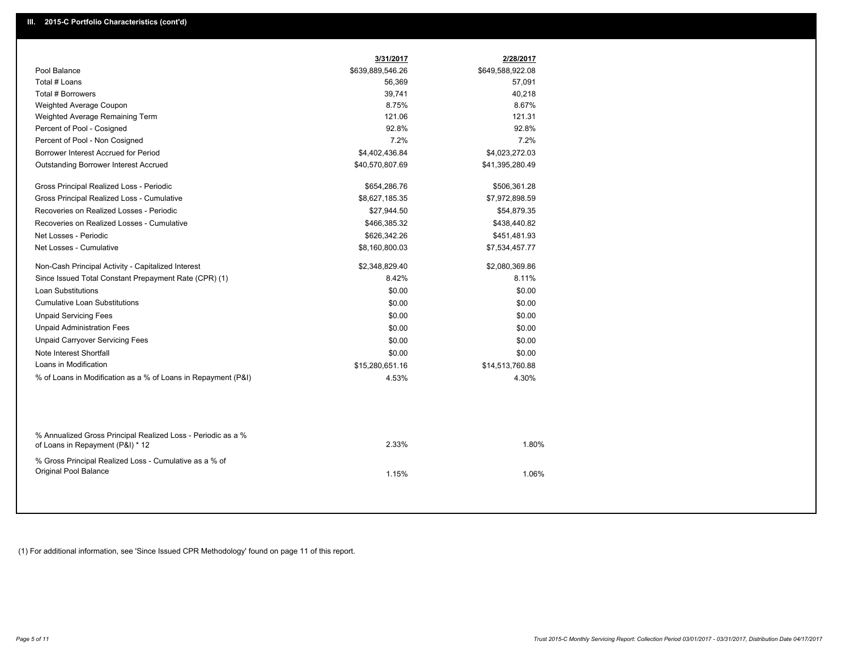|                                                                                                  | 3/31/2017        | 2/28/2017        |
|--------------------------------------------------------------------------------------------------|------------------|------------------|
| Pool Balance                                                                                     | \$639,889,546.26 | \$649,588,922.08 |
| Total # Loans                                                                                    | 56,369           | 57,091           |
| Total # Borrowers                                                                                | 39,741           | 40,218           |
| Weighted Average Coupon                                                                          | 8.75%            | 8.67%            |
| Weighted Average Remaining Term                                                                  | 121.06           | 121.31           |
| Percent of Pool - Cosigned                                                                       | 92.8%            | 92.8%            |
| Percent of Pool - Non Cosigned                                                                   | 7.2%             | 7.2%             |
| Borrower Interest Accrued for Period                                                             | \$4,402,436.84   | \$4,023,272.03   |
| <b>Outstanding Borrower Interest Accrued</b>                                                     | \$40,570,807.69  | \$41,395,280.49  |
| Gross Principal Realized Loss - Periodic                                                         | \$654,286.76     | \$506,361.28     |
| Gross Principal Realized Loss - Cumulative                                                       | \$8,627,185.35   | \$7,972,898.59   |
| Recoveries on Realized Losses - Periodic                                                         | \$27,944.50      | \$54,879.35      |
| Recoveries on Realized Losses - Cumulative                                                       | \$466,385.32     | \$438,440.82     |
| Net Losses - Periodic                                                                            | \$626,342.26     | \$451,481.93     |
| Net Losses - Cumulative                                                                          | \$8,160,800.03   | \$7,534,457.77   |
| Non-Cash Principal Activity - Capitalized Interest                                               | \$2,348,829.40   | \$2,080,369.86   |
| Since Issued Total Constant Prepayment Rate (CPR) (1)                                            | 8.42%            | 8.11%            |
| <b>Loan Substitutions</b>                                                                        | \$0.00           | \$0.00           |
| <b>Cumulative Loan Substitutions</b>                                                             | \$0.00           | \$0.00           |
| <b>Unpaid Servicing Fees</b>                                                                     | \$0.00           | \$0.00           |
| <b>Unpaid Administration Fees</b>                                                                | \$0.00           | \$0.00           |
| <b>Unpaid Carryover Servicing Fees</b>                                                           | \$0.00           | \$0.00           |
| Note Interest Shortfall                                                                          | \$0.00           | \$0.00           |
| Loans in Modification                                                                            | \$15,280,651.16  | \$14,513,760.88  |
| % of Loans in Modification as a % of Loans in Repayment (P&I)                                    | 4.53%            | 4.30%            |
|                                                                                                  |                  |                  |
| % Annualized Gross Principal Realized Loss - Periodic as a %<br>of Loans in Repayment (P&I) * 12 | 2.33%            | 1.80%            |
| % Gross Principal Realized Loss - Cumulative as a % of<br>Original Pool Balance                  | 1.15%            | 1.06%            |

(1) For additional information, see 'Since Issued CPR Methodology' found on page 11 of this report.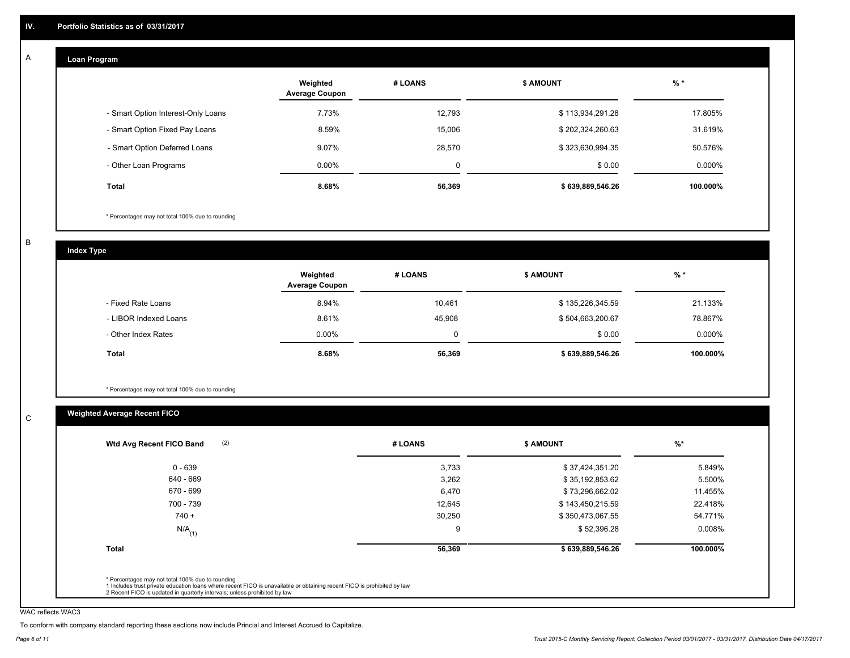#### **Loan Program**  A

|                                    | Weighted<br><b>Average Coupon</b> | # LOANS | <b>\$ AMOUNT</b> | $%$ *     |
|------------------------------------|-----------------------------------|---------|------------------|-----------|
| - Smart Option Interest-Only Loans | 7.73%                             | 12,793  | \$113,934,291.28 | 17.805%   |
| - Smart Option Fixed Pay Loans     | 8.59%                             | 15,006  | \$202,324,260.63 | 31.619%   |
| - Smart Option Deferred Loans      | 9.07%                             | 28,570  | \$323,630,994.35 | 50.576%   |
| - Other Loan Programs              | $0.00\%$                          | 0       | \$0.00           | $0.000\%$ |
| <b>Total</b>                       | 8.68%                             | 56,369  | \$639,889,546.26 | 100.000%  |

\* Percentages may not total 100% due to rounding

B

C

**Index Type**

|                       | Weighted<br><b>Average Coupon</b> | # LOANS | <b>\$ AMOUNT</b> | % *       |
|-----------------------|-----------------------------------|---------|------------------|-----------|
| - Fixed Rate Loans    | 8.94%                             | 10,461  | \$135,226,345.59 | 21.133%   |
| - LIBOR Indexed Loans | 8.61%                             | 45,908  | \$504,663,200.67 | 78.867%   |
| - Other Index Rates   | $0.00\%$                          | 0       | \$0.00           | $0.000\%$ |
| <b>Total</b>          | 8.68%                             | 56,369  | \$639,889,546.26 | 100.000%  |

\* Percentages may not total 100% due to rounding

# **Weighted Average Recent FICO**

| $0 - 639$<br>640 - 669<br>670 - 699<br>700 - 739 | 3,733<br>3,262<br>6,470 | \$37,424,351.20<br>\$35,192,853.62<br>\$73,296,662.02 | 5.849%<br>5.500% |
|--------------------------------------------------|-------------------------|-------------------------------------------------------|------------------|
|                                                  |                         |                                                       |                  |
|                                                  |                         |                                                       |                  |
|                                                  |                         |                                                       | 11.455%          |
|                                                  | 12,645                  | \$143,450,215.59                                      | 22.418%          |
| $740 +$                                          | 30,250                  | \$350,473,067.55                                      | 54.771%          |
| $N/A$ <sub>(1)</sub>                             | 9                       | \$52,396.28                                           | 0.008%           |
| Total                                            | 56,369                  | \$639,889,546.26                                      | 100.000%         |

WAC reflects WAC3

To conform with company standard reporting these sections now include Princial and Interest Accrued to Capitalize.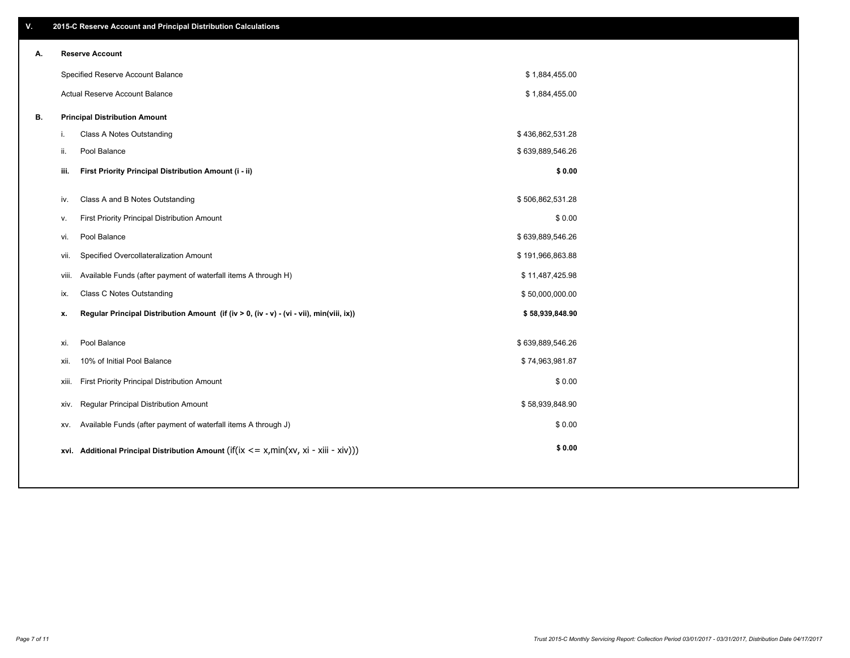| ۷. |       | 2015-C Reserve Account and Principal Distribution Calculations                                      |                  |  |
|----|-------|-----------------------------------------------------------------------------------------------------|------------------|--|
| А. |       | <b>Reserve Account</b>                                                                              |                  |  |
|    |       | Specified Reserve Account Balance                                                                   | \$1,884,455.00   |  |
|    |       | Actual Reserve Account Balance                                                                      | \$1,884,455.00   |  |
| В. |       | <b>Principal Distribution Amount</b>                                                                |                  |  |
|    | j.    | Class A Notes Outstanding                                                                           | \$436,862,531.28 |  |
|    | ii.   | Pool Balance                                                                                        | \$639,889,546.26 |  |
|    | iii.  | First Priority Principal Distribution Amount (i - ii)                                               | \$0.00           |  |
|    |       |                                                                                                     |                  |  |
|    | iv.   | Class A and B Notes Outstanding                                                                     | \$506,862,531.28 |  |
|    | v.    | First Priority Principal Distribution Amount                                                        | \$0.00           |  |
|    | vi.   | Pool Balance                                                                                        | \$639,889,546.26 |  |
|    | vii.  | Specified Overcollateralization Amount                                                              | \$191,966,863.88 |  |
|    | viii. | Available Funds (after payment of waterfall items A through H)                                      | \$11,487,425.98  |  |
|    | ix.   | <b>Class C Notes Outstanding</b>                                                                    | \$50,000,000.00  |  |
|    | х.    | Regular Principal Distribution Amount (if (iv > 0, (iv - v) - (vi - vii), min(viii, ix))            | \$58,939,848.90  |  |
|    |       |                                                                                                     |                  |  |
|    | xi.   | Pool Balance                                                                                        | \$639,889,546.26 |  |
|    | xii.  | 10% of Initial Pool Balance                                                                         | \$74,963,981.87  |  |
|    | xiii. | First Priority Principal Distribution Amount                                                        | \$0.00           |  |
|    | XIV.  | Regular Principal Distribution Amount                                                               | \$58,939,848.90  |  |
|    | XV.   | Available Funds (after payment of waterfall items A through J)                                      | \$0.00           |  |
|    |       | xvi. Additional Principal Distribution Amount (if( $ix \le x$ , min( $xv$ , $xi$ - $xiii - xiv$ ))) | \$0.00           |  |
|    |       |                                                                                                     |                  |  |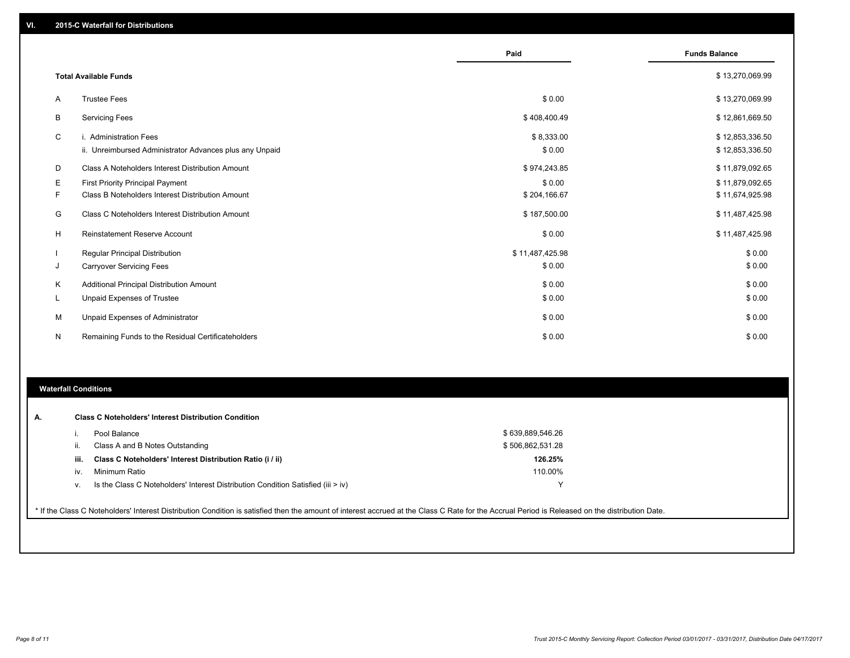|              |                                                                                   | Paid                 | <b>Funds Balance</b>               |
|--------------|-----------------------------------------------------------------------------------|----------------------|------------------------------------|
|              | <b>Total Available Funds</b>                                                      |                      | \$13,270,069.99                    |
| $\mathsf{A}$ | <b>Trustee Fees</b>                                                               | \$0.00               | \$13,270,069.99                    |
| B            | <b>Servicing Fees</b>                                                             | \$408,400.49         | \$12,861,669.50                    |
| C            | i. Administration Fees<br>ii. Unreimbursed Administrator Advances plus any Unpaid | \$8,333.00<br>\$0.00 | \$12,853,336.50<br>\$12,853,336.50 |
| D            | Class A Noteholders Interest Distribution Amount                                  | \$974,243.85         | \$11,879,092.65                    |
| Е            | <b>First Priority Principal Payment</b>                                           | \$0.00               | \$11,879,092.65                    |
| F            | Class B Noteholders Interest Distribution Amount                                  | \$204,166.67         | \$11,674,925.98                    |
| G            | Class C Noteholders Interest Distribution Amount                                  | \$187,500.00         | \$11,487,425.98                    |
| н            | <b>Reinstatement Reserve Account</b>                                              | \$0.00               | \$11,487,425.98                    |
|              | <b>Regular Principal Distribution</b>                                             | \$11,487,425.98      | \$0.00                             |
| J            | <b>Carryover Servicing Fees</b>                                                   | \$0.00               | \$0.00                             |
| K            | Additional Principal Distribution Amount                                          | \$0.00               | \$0.00                             |
| ч.           | <b>Unpaid Expenses of Trustee</b>                                                 | \$0.00               | \$0.00                             |
| М            | Unpaid Expenses of Administrator                                                  | \$0.00               | \$0.00                             |
| N            | Remaining Funds to the Residual Certificateholders                                | \$0.00               | \$0.00                             |

# **Waterfall Conditions**

|      | Pool Balance                                                                     | \$639,889,546.26 |
|------|----------------------------------------------------------------------------------|------------------|
| Ш.   | Class A and B Notes Outstanding                                                  | \$506,862,531.28 |
| iii. | Class C Noteholders' Interest Distribution Ratio (i / ii)                        | 126.25%          |
| IV.  | Minimum Ratio                                                                    | 110.00%          |
| v.   | Is the Class C Noteholders' Interest Distribution Condition Satisfied (iii > iv) | $\check{ }$      |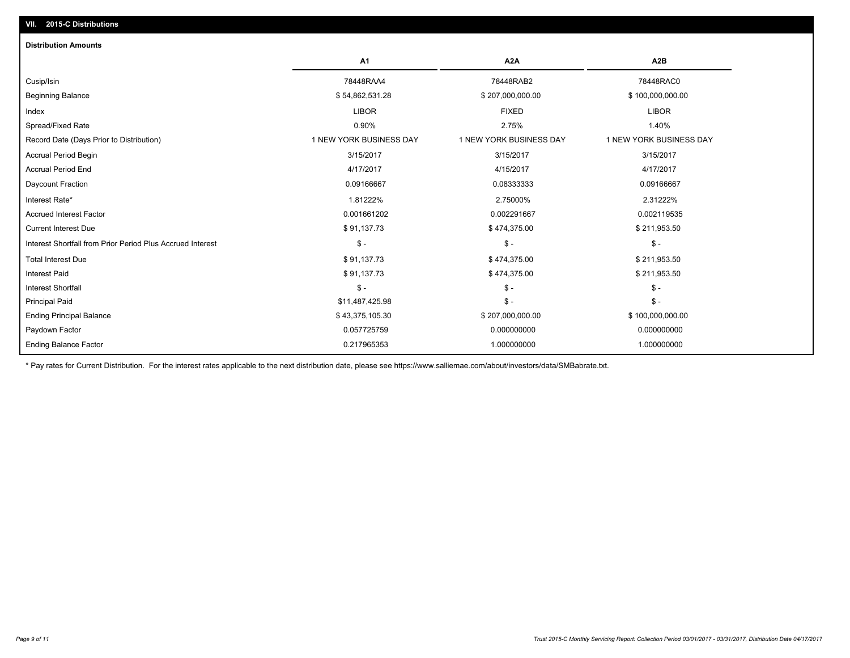| <b>Distribution Amounts</b>                                |                         |                         |                         |
|------------------------------------------------------------|-------------------------|-------------------------|-------------------------|
|                                                            | A <sub>1</sub>          | A <sub>2</sub> A        | A <sub>2</sub> B        |
| Cusip/Isin                                                 | 78448RAA4               | 78448RAB2               | 78448RAC0               |
| <b>Beginning Balance</b>                                   | \$54,862,531.28         | \$207,000,000.00        | \$100,000,000.00        |
| Index                                                      | <b>LIBOR</b>            | <b>FIXED</b>            | <b>LIBOR</b>            |
| Spread/Fixed Rate                                          | 0.90%                   | 2.75%                   | 1.40%                   |
| Record Date (Days Prior to Distribution)                   | 1 NEW YORK BUSINESS DAY | 1 NEW YORK BUSINESS DAY | 1 NEW YORK BUSINESS DAY |
| <b>Accrual Period Begin</b>                                | 3/15/2017               | 3/15/2017               | 3/15/2017               |
| <b>Accrual Period End</b>                                  | 4/17/2017               | 4/15/2017               | 4/17/2017               |
| Daycount Fraction                                          | 0.09166667              | 0.08333333              | 0.09166667              |
| Interest Rate*                                             | 1.81222%                | 2.75000%                | 2.31222%                |
| <b>Accrued Interest Factor</b>                             | 0.001661202             | 0.002291667             | 0.002119535             |
| <b>Current Interest Due</b>                                | \$91,137.73             | \$474,375.00            | \$211,953.50            |
| Interest Shortfall from Prior Period Plus Accrued Interest | $\mathsf{\$}$ -         | $\mathsf{\$}$ -         | $\mathsf{\$}$ -         |
| <b>Total Interest Due</b>                                  | \$91,137.73             | \$474,375.00            | \$211,953.50            |
| <b>Interest Paid</b>                                       | \$91,137.73             | \$474,375.00            | \$211,953.50            |
| <b>Interest Shortfall</b>                                  | $\mathsf{\$}$ -         | $\mathsf{\$}$ -         | $\mathsf{\$}$ -         |
| <b>Principal Paid</b>                                      | \$11,487,425.98         | $\frac{2}{3}$ -         | $\mathsf{\$}$ -         |
| <b>Ending Principal Balance</b>                            | \$43,375,105.30         | \$207,000,000.00        | \$100,000,000.00        |
| Paydown Factor                                             | 0.057725759             | 0.000000000             | 0.000000000             |
| <b>Ending Balance Factor</b>                               | 0.217965353             | 1.000000000             | 1.000000000             |

\* Pay rates for Current Distribution. For the interest rates applicable to the next distribution date, please see https://www.salliemae.com/about/investors/data/SMBabrate.txt.

**VII. 2015-C Distributions**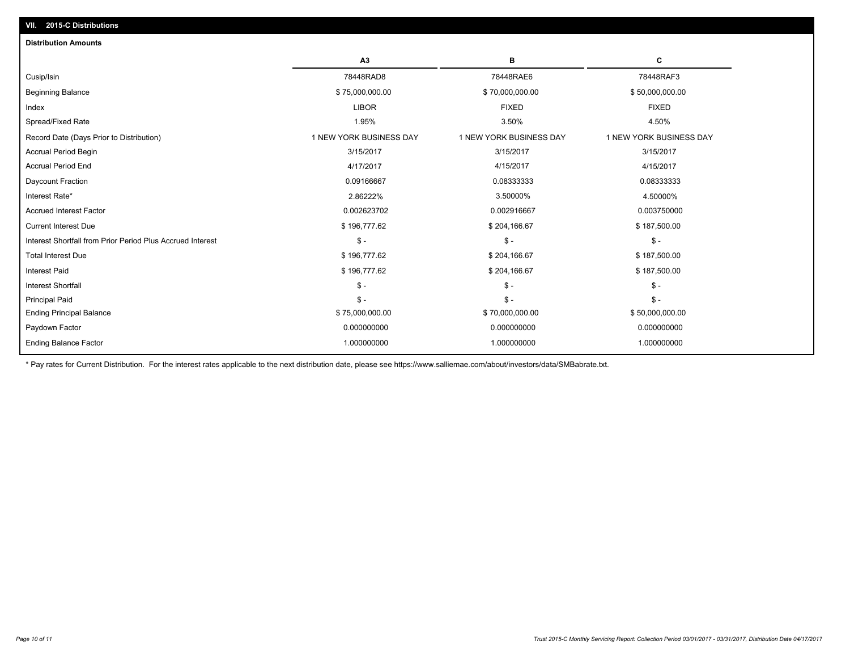| A3<br>в<br>78448RAD8<br>78448RAE6<br>Cusip/Isin                                                  | С<br>78448RAF3<br>\$50,000,000.00<br><b>FIXED</b><br>4.50% |
|--------------------------------------------------------------------------------------------------|------------------------------------------------------------|
|                                                                                                  |                                                            |
|                                                                                                  |                                                            |
| <b>Beginning Balance</b><br>\$75,000,000.00<br>\$70,000,000.00                                   |                                                            |
| <b>LIBOR</b><br><b>FIXED</b><br>Index                                                            |                                                            |
| Spread/Fixed Rate<br>3.50%<br>1.95%                                                              |                                                            |
| 1 NEW YORK BUSINESS DAY<br>1 NEW YORK BUSINESS DAY<br>Record Date (Days Prior to Distribution)   | 1 NEW YORK BUSINESS DAY                                    |
| <b>Accrual Period Begin</b><br>3/15/2017<br>3/15/2017                                            | 3/15/2017                                                  |
| <b>Accrual Period End</b><br>4/15/2017<br>4/17/2017                                              | 4/15/2017                                                  |
| Daycount Fraction<br>0.09166667<br>0.08333333                                                    | 0.08333333                                                 |
| Interest Rate*<br>2.86222%<br>3.50000%                                                           | 4.50000%                                                   |
| <b>Accrued Interest Factor</b><br>0.002623702<br>0.002916667                                     | 0.003750000                                                |
| \$196,777.62<br><b>Current Interest Due</b><br>\$204,166.67                                      | \$187,500.00                                               |
| Interest Shortfall from Prior Period Plus Accrued Interest<br>$\mathsf{\$}$ -<br>$\mathsf{\$}$ - | $\mathsf{\$}$ -                                            |
| <b>Total Interest Due</b><br>\$196,777.62<br>\$204,166.67                                        | \$187,500.00                                               |
| <b>Interest Paid</b><br>\$196,777.62<br>\$204,166.67                                             | \$187,500.00                                               |
| $\mathsf{\$}$ -<br>$\mathsf{\$}$ -<br><b>Interest Shortfall</b>                                  | $\mathcal{S}$ -                                            |
| $\mathsf{\$}$ -<br>$S -$<br><b>Principal Paid</b>                                                | $\mathsf{\$}$ -                                            |
| \$75,000,000.00<br><b>Ending Principal Balance</b><br>\$70,000,000.00                            | \$50,000,000.00                                            |
| 0.000000000<br>0.000000000<br>Paydown Factor                                                     | 0.000000000                                                |
| <b>Ending Balance Factor</b><br>1.000000000<br>1.000000000                                       | 1.000000000                                                |

\* Pay rates for Current Distribution. For the interest rates applicable to the next distribution date, please see https://www.salliemae.com/about/investors/data/SMBabrate.txt.

**VII. 2015-C Distributions**